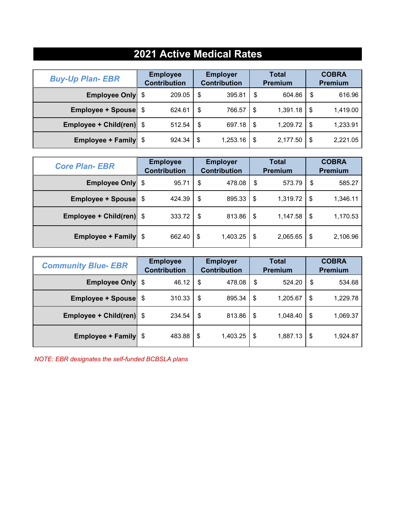## **2021 Active Medical Rates**

| <b>Buy-Up Plan- EBR</b>     | <b>Employee</b><br><b>Contribution</b> |     | <b>Employer</b><br><b>Contribution</b> |     | <b>Total</b><br>Premium |      | <b>COBRA</b><br><b>Premium</b> |
|-----------------------------|----------------------------------------|-----|----------------------------------------|-----|-------------------------|------|--------------------------------|
| <b>Employee Only</b> \$     | 209.05                                 | \$  | 395.81                                 | \$  | 604.86                  | \$   | 616.96                         |
| <b>Employee + Spouse</b> \$ | 624.61                                 | \$  | 766.57                                 | \$  | 1,391.18                | \$   | 1,419.00                       |
| Employee + Child(ren) $$$   | 512.54                                 | -\$ | 697.18                                 | -\$ | 1,209.72                | \$   | 1,233.91                       |
| <b>Employee + Family</b> \$ | 924.34                                 | \$  | 1,253.16                               | \$  | 2,177.50                | - \$ | 2,221.05                       |

| <b>Core Plan- EBR</b>           | <b>Employee</b><br><b>Contribution</b> | <b>Employer</b><br><b>Contribution</b> | <b>Total</b><br><b>Premium</b> | <b>COBRA</b><br><b>Premium</b> |
|---------------------------------|----------------------------------------|----------------------------------------|--------------------------------|--------------------------------|
| <b>Employee Only</b> \$         | 95.71                                  | \$<br>478.08                           | 573.79<br>\$                   | 585.27<br>S                    |
| <b>Employee + Spouse</b> \$     | 424.39                                 | \$<br>895.33                           | \$<br>1,319.72                 | 1,346.11<br>- \$               |
| <b>Employee + Child(ren)</b> \$ | 333.72                                 | -\$<br>813.86                          | \$<br>1,147.58                 | 1,170.53<br>S                  |
| <b>Employee + Family</b> \$     | 662.40                                 | \$<br>1,403.25                         | \$<br>2,065.65                 | 2,106.96<br>S                  |

| <b>Community Blue- EBR</b>  | <b>Employer</b><br><b>Employee</b><br><b>Contribution</b><br><b>Contribution</b> |                | <b>Total</b><br><b>Premium</b> | <b>COBRA</b><br><b>Premium</b> |
|-----------------------------|----------------------------------------------------------------------------------|----------------|--------------------------------|--------------------------------|
| <b>Employee Only</b> \$     | 46.12                                                                            | 478.08<br>-\$  | 524.20<br>\$                   | \$<br>534.68                   |
| <b>Employee + Spouse</b> \$ | 310.33                                                                           | \$<br>895.34   | \$<br>1,205.67                 | 1,229.78<br>S                  |
| Employee + Child(ren) \$    | 234.54                                                                           | \$<br>813.86   | \$<br>1,048.40                 | 1,069.37<br>S                  |
| <b>Employee + Family</b> \$ | 483.88                                                                           | 1,403.25<br>\$ | \$<br>1,887.13                 | 1,924.87<br>\$                 |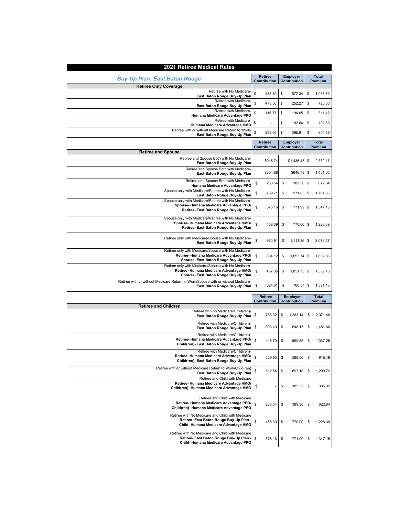| 2021 Retiree Medical Rates                                                                                                             |                                       |                          |                         |
|----------------------------------------------------------------------------------------------------------------------------------------|---------------------------------------|--------------------------|-------------------------|
| <b>Buy-Up Plan: East Baton Rouge</b>                                                                                                   | <b>Retiree</b>                        | <b>Employer</b>          | <b>Total</b>            |
| <b>Retiree Only Coverage</b>                                                                                                           | <b>Contribution</b>                   | Contribution             | Premium                 |
| Retiree with No Medicare-<br>East Baton Rouge Buy-Up Plan                                                                              | \$<br>458.39                          | \$<br>577.34             | \$<br>1,035.73          |
| Retiree with Medicare-<br>East Baton Rouge Buy-Up Plan                                                                                 | \$<br>473.56                          | \$<br>252.27             | \$<br>725.83            |
| Retiree with Medicare-<br>Humana Medicare Advantage PPO                                                                                | \$<br>116.77                          | \$<br>194.65             | \$<br>311.42            |
| Retiree with Medicare-<br>Humana Medicare Advantage HMO                                                                                | \$                                    | \$<br>192.66             | \$<br>192.66            |
| Retiree with or without Medicare Return to Work-<br>East Baton Rouge Buy-Up Plan                                                       | \$<br>209.05                          | \$<br>395.81             | \$<br>604.86            |
|                                                                                                                                        | <b>Retiree</b><br><b>Contribution</b> | Employer<br>Contribution | <b>Total</b><br>Premium |
| <b>Retiree and Spouse</b>                                                                                                              |                                       |                          |                         |
| Retiree and Spouse Both with No Medicare-<br>East Baton Rouge Buy-Up Plan                                                              | \$945.74                              | \$1,436.43               | \$<br>2,382.17          |
| Retiree and Spouse Both with Medicare-<br>East Baton Rouge Buy-Up Plan                                                                 | \$804.88                              | \$646.78                 | \$<br>1,451.66          |
| Retiree and Spouse Both with Medicare<br>Humana Medicare Advantage PPO                                                                 | \$<br>233.54                          | \$<br>389.30             | \$<br>622.84            |
| Spouse only with Medicare/Retiree with No Medicare-<br>East Baton Rouge Buy-Up Plan                                                    | \$<br>789.71                          | \$<br>971.85             | \$<br>1,761.56          |
| Spouse only with Medicare/Retiree with No Medicare-<br>Spouse-Humana Medicare Advantage PPO/<br>Retiree- East Baton Rouge Buy-Up Plan  | \$<br>575.16                          | \$<br>771.99             | \$<br>1,347.15          |
| Spouse only with Medicare/Retiree with No Medicare-<br>Spouse-Humana Medicare Advantage HMO/<br>Retiree- East Baton Rouge Buy-Up Plan  | \$<br>458.39                          | \$<br>770.00             | \$<br>1,228.39          |
| Retiree only with Medicare/Spouse with No Medicare-<br>East Baton Rouge Buy-Up Plan                                                    | \$<br>960.91                          | \$<br>1.111.36           | \$<br>2.072.27          |
| Retiree only with Medicare/Spouse with No Medicare-<br>Retiree- Humana Medicare Advantage PPO/<br>Spouse- East Baton Rouge Buy-Up Plan | \$<br>604.12                          | \$<br>1,053.74           | \$<br>1,657.86          |
| Retiree only with Medicare/Spouse with No Medicare-<br>Retiree- Humana Medicare Advantage HMO/<br>Spouse- East Baton Rouge Buy-Up Plan | \$<br>487.35                          | \$<br>1,051.75           | \$<br>1,539.10          |
| Retiree with or without Medicare Return to Work/Spouse with or without Medicare-<br>East Baton Rouge Buy-Up Plan                       | \$<br>624.61                          | \$<br>766.57             | \$<br>1,391.18          |
|                                                                                                                                        | <b>Retiree</b>                        | <b>Employer</b>          | <b>Total</b>            |
| <b>Retiree and Children</b>                                                                                                            | Contribution                          | Contribution             | Premium                 |
| Retiree with no Medicare/Child(ren)-<br>East Baton Rouge Buy-Up Plan                                                                   | 788.32<br>\$                          | \$<br>1,283.14           | \$<br>2,071.46          |
| Retiree with Medicare/Child(ren)<br>East Baton Rouge Buy-Up Plan                                                                       | \$<br>803.49                          | \$<br>648.17             | \$<br>1,451.66          |
| Retiree with Medicare/Child(ren)-<br>Retiree- Humana Medicare Advantage PPO/<br>Child(ren)- East Baton Rouge Buy-Up Plan               | \$<br>446.70                          | \$<br>590.55             | \$<br>1,037.25          |
| Retiree with Medicare/Child(ren)-<br>Retiree- Humana Medicare Advantage HMO/<br>Child(ren)- East Baton Rouge Buy-Up Plan               | \$<br>329.93                          | \$<br>588.56             | \$<br>918.49            |
| Retiree with or without Medicare Return to Work/Child(ren)<br>East Baton Rouge Buy-Up Plan                                             | \$<br>512.54                          | \$<br>697.18             | \$<br>1,209.72          |
| Retiree and Child with Medicare<br>Retiree-Humana Medicare Advantage HMO/<br>Child(ren)- Humana Medicare Advantage HMO                 | \$                                    | \$<br>385.32             | \$<br>385.32            |
| Retiree and Child with Medicare<br>Retiree- Humana Medicare Advantage PPO/<br>Child(ren)- Humana Medicare Advantage PPO                | \$<br>233.54                          | \$<br>389.30             | \$<br>622.84            |
| Retiree with No Medicare and Child with Medicare<br>Retiree- East Baton Rouge Buy-Up Plan<br>Child-Humana Medicare Advantage HMO       | \$<br>458.39                          | \$<br>770.00             | \$<br>1,228.39          |
| Retiree with No Medicare and Child with Medicare<br>Retiree- East Baton Rouge Buy-Up Plan<br>Child-Humana Medicare Advantage PPO       | \$<br>575.16                          | \$<br>771.99             | \$<br>1,347.15          |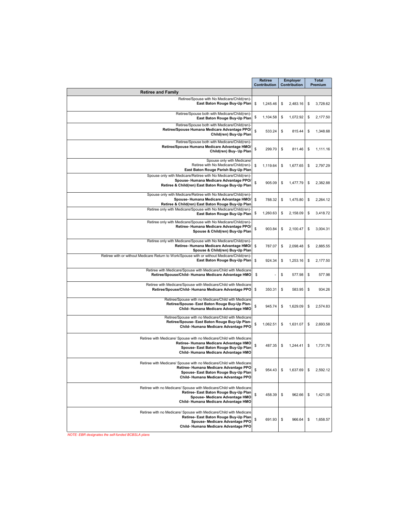|                                                                                                                                                                                             | <b>Retiree</b><br>Contribution | <b>Employer</b><br>Contribution | <b>Total</b><br>Premium |
|---------------------------------------------------------------------------------------------------------------------------------------------------------------------------------------------|--------------------------------|---------------------------------|-------------------------|
| <b>Retiree and Family</b>                                                                                                                                                                   |                                |                                 |                         |
| Retiree/Spouse with No Medicare/Child(ren)-<br>East Baton Rouge Buy-Up Plan                                                                                                                 | \$<br>1,245.46                 | \$<br>2,483.16                  | \$<br>3,728.62          |
| Retiree/Spouse both with Medicare/Child(ren)<br>East Baton Rouge Buy-Up Plan                                                                                                                | \$<br>1,104.58                 | \$<br>1,072.92                  | \$<br>2,177.50          |
| Retiree/Spouse both with Medicare/Child(ren)-<br>Retiree/Spouse Humana Medicare Advantage PPO/<br>Child(ren) Buy-Up Plan                                                                    | \$<br>533.24                   | \$<br>815.44                    | \$<br>1,348.68          |
| Retiree/Spouse both with Medicare/Child(ren)-<br>Retiree/Spouse Humana Medicare Advantage HMO/<br>Child(ren) Buy- Up Plan                                                                   | \$<br>299.70                   | \$<br>811.46                    | \$<br>1,111.16          |
| Spouse only with Medicare<br>Retiree with No Medicare/Child(ren)-<br>East Baton Rouge Parish Buy-Up Plan                                                                                    | \$<br>1,119.64                 | \$<br>1,677.65                  | \$<br>2,797.29          |
| Spouse only with Medicare/Retiree with No Medicare/Child(ren)-<br>Spouse-Humana Medicare Advantage PPO<br>Retiree & Child(ren) East Baton Rouge Buy-Up Plan                                 | \$<br>905.09                   | \$<br>1,477.79                  | \$<br>2,382.88          |
| Spouse only with Medicare/Retiree with No Medicare/Child(ren)-<br>Spouse-Humana Medicare Advantage HMO/<br>Retiree & Child(ren) East Baton Rouge Buy-Up Plan                                | \$<br>788.32                   | \$<br>1,475.80                  | \$<br>2,264.12          |
| Retiree only with Medicare/Spouse with No Medicare/Child(ren)-<br>East Baton Rouge Buy-Up Plan                                                                                              | \$<br>1,260.63                 | \$<br>2,158.09                  | \$<br>3,418.72          |
| Retiree only with Medicare/Spouse with No Medicare/Child(ren)-<br>Retiree- Humana Medicare Advantage PPO/<br>Spouse & Child(ren) Buy-Up Plan                                                | \$<br>903.84                   | \$<br>2,100.47                  | \$<br>3.004.31          |
| Retiree only with Medicare/Spouse with No Medicare/Child(ren)-<br>Retiree-Humana Medicare Advantage HMO/<br>Spouse & Child(ren) Buy-Up Plan                                                 | \$<br>787.07                   | \$<br>2,098.48                  | 2,885.55<br>\$          |
| Retiree with or without Medicare Return to Work/Spouse with or without Medicare/Child(ren)-<br>East Baton Rouge Buy-Up Plan                                                                 | \$<br>924.34                   | \$<br>1,253.16                  | \$<br>2,177.50          |
| Retiree with Medicare/Spouse with Medicare/Child with Medicare<br>Retiree/Spouse/Child-Humana Medicare Advantage HMO                                                                        | \$                             | \$<br>577.98                    | \$<br>577.98            |
| Retiree with Medicare/Spouse with Medicare/Child with Medicare<br>Retiree/Spouse/Child-Humana Medicare Advantage PPO                                                                        | \$<br>350.31                   | \$<br>583.95                    | \$<br>934.26            |
| Retiree/Spouse with no Medicare/Child with Medicare<br>Retiree/Spouse- East Baton Rouge Buy-Up Plan-<br>Child-Humana Medicare Advantage HMO                                                 | \$<br>945.74                   | \$<br>1,629.09                  | \$<br>2,574.83          |
| Retiree/Spouse with no Medicare/Child with Medicare<br>Retiree/Spouse- East Baton Rouge Buy-Up Plan-<br>Child-Humana Medicare Advantage PPO                                                 | \$<br>1,062.51                 | \$<br>1,631.07                  | 2,693.58<br>\$          |
| Retiree with Medicare/ Spouse with no Medicare/Child with Medicare<br>Retiree- Humana Medicare Advantage HMO<br>Spouse- East Baton Rouge Buy-Up Plan<br>Child-Humana Medicare Advantage HMO | \$<br>487.35                   | 1,244.41<br>\$                  | 1,731.76<br>\$          |
| Retiree with Medicare/ Spouse with no Medicare/Child with Medicare<br>Retiree-Humana Medicare Advantage PPO<br>Spouse- East Baton Rouge Buy-Up Plan<br>Child-Humana Medicare Advantage PPO  | 2                              | 1,637.69                        | 2.592.12                |
| Retiree with no Medicare/ Spouse with Medicare/Child with Medicare<br>Retiree- East Baton Rouge Buy-Up Plan<br>Spouse- Medicare Advantage HMO<br>Child-Humana Medicare Advantage HMO        | \$<br>458.39                   | \$<br>962.66                    | \$<br>1,421.05          |
| Retiree with no Medicare/ Spouse with Medicare/Child with Medicare<br>Retiree- East Baton Rouge Buy-Up Plan<br>Spouse- Medicare Advantage PPO<br>Child-Humana Medicare Advantage PPO        | \$<br>691.93                   | \$<br>966.64                    | \$<br>1,658.57          |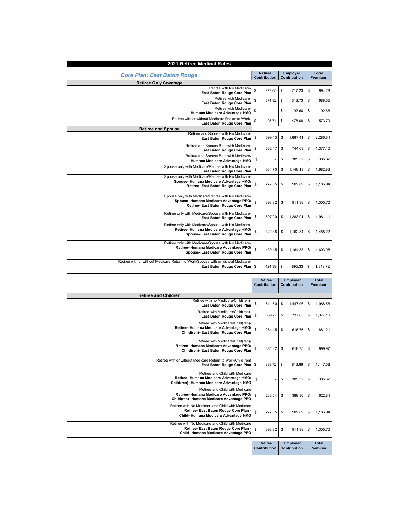| 2021 Retiree Medical Rates                                                                                                           |                |                 |                |  |  |  |  |
|--------------------------------------------------------------------------------------------------------------------------------------|----------------|-----------------|----------------|--|--|--|--|
| <b>Core Plan: East Baton Rouge</b>                                                                                                   | <b>Retiree</b> | <b>Employer</b> | <b>Total</b>   |  |  |  |  |
|                                                                                                                                      | Contribution   | Contribution    | Premium        |  |  |  |  |
| <b>Retiree Only Coverage</b><br>Retiree with No Medicare-                                                                            |                |                 |                |  |  |  |  |
| East Baton Rouge Core Plan                                                                                                           | \$             | \$              | \$             |  |  |  |  |
| Retiree with Medicare-                                                                                                               | 277.05         | 717.23          | 994.28         |  |  |  |  |
| East Baton Rouge Core Plan                                                                                                           | \$             | \$              | \$             |  |  |  |  |
|                                                                                                                                      | 374.82         | 313.73          | 688.55         |  |  |  |  |
| Retiree with Medicare-                                                                                                               | \$             | \$              | \$             |  |  |  |  |
| Humana Medicare Advantage HMO                                                                                                        |                | 192.66          | 192.66         |  |  |  |  |
| Retiree with or without Medicare Return to Work                                                                                      | \$             | \$              | \$             |  |  |  |  |
| East Baton Rouge Core Plan                                                                                                           | 95.71          | 478.08          | 573.79         |  |  |  |  |
| <b>Retiree and Spouse</b>                                                                                                            |                |                 |                |  |  |  |  |
| Retiree and Spouse with No Medicare-                                                                                                 | \$             | \$              | \$             |  |  |  |  |
| East Baton Rouge Core Plan                                                                                                           | 599.43         | 1,687.41        | 2,286.84       |  |  |  |  |
| Retiree and Spouse Both with Medicare-                                                                                               | \$             | \$              | \$             |  |  |  |  |
| East Baton Rouge Core Plan                                                                                                           | 632.47         | 744.63          | 1,377.10       |  |  |  |  |
| Retiree and Spouse Both with Medicare-                                                                                               | \$             | \$              | \$             |  |  |  |  |
| Humana Medicare Advantage HMO                                                                                                        |                | 385.32          | 385.32         |  |  |  |  |
| Spouse only with Medicare/Retiree with No Medicare-                                                                                  | \$             | \$              | \$             |  |  |  |  |
| East Baton Rouge Core Plan                                                                                                           | 534.70         | 1,148.13        | 1,682.83       |  |  |  |  |
| Spouse only with Medicare/Retiree with No Medicare-<br>Spouse-Humana Medicare Advantage HMO/<br>Retiree- East Baton Rouge Core Plan  | \$<br>277.05   | \$<br>909.89    | \$<br>1,186.94 |  |  |  |  |
| Spouse only with Medicare/Retiree with No Medicare-<br>Spouse-Humana Medicare Advantage PPO/<br>Retiree- East Baton Rouge Core Plan  | \$<br>393.82   | \$<br>911.88    | \$<br>1,305.70 |  |  |  |  |
| Retiree only with Medicare/Spouse with No Medicare-                                                                                  | \$             | \$              | \$             |  |  |  |  |
| East Baton Rouge Core Plan                                                                                                           | 697.20         | 1,283.91        | 1,981.11       |  |  |  |  |
| Retiree only with Medicare/Spouse with No Medicare-<br>Retiree- Humana Medicare Advantage HMO/<br>Spouse- East Baton Rouge Core Plan | \$<br>322.38   | \$<br>1,162.84  | \$<br>1,485.22 |  |  |  |  |
| Retiree only with Medicare/Spouse with No Medicare-<br>Retiree- Humana Medicare Advantage PPO/<br>Spouse- East Baton Rouge Core Plan | \$<br>439.15   | \$<br>1,164.83  | 1,603.98<br>\$ |  |  |  |  |
| Retiree with or without Medicare Return to Work/Spouse with or without Medicare-                                                     | \$             | \$              | \$             |  |  |  |  |
| East Baton Rouge Core Plan                                                                                                           | 424.39         | 895.33          | 1,319.72       |  |  |  |  |
|                                                                                                                                      | <b>Retiree</b> | <b>Employer</b> | <b>Total</b>   |  |  |  |  |
|                                                                                                                                      | Contribution   | Contribution    | Premium        |  |  |  |  |
| <b>Retiree and Children</b>                                                                                                          |                |                 |                |  |  |  |  |
| Retiree with no Medicare/Child(ren)-                                                                                                 | \$             | \$              | \$             |  |  |  |  |
| East Baton Rouge Core Plan                                                                                                           | 541.50         | 1,447.06        | 1,988.56       |  |  |  |  |
| Retiree with Medicare/Child(ren)-                                                                                                    | \$             | \$              | \$             |  |  |  |  |
| East Baton Rouge Core Plan                                                                                                           | 639.27         | 737.83          | 1,377.10       |  |  |  |  |
| Retiree with Medicare/Child(ren)-<br>Retiree- Humana Medicare Advantage HMO/<br>Child(ren)- East Baton Rouge Core Plan               | \$<br>264.45   | \$<br>616.76    | \$<br>881.21   |  |  |  |  |
| Retiree with Medicare/Child(ren)-<br>Retiree- Humana Medicare Advantage PPO/<br>Child(ren)- East Baton Rouge Core Plan               | \$<br>381.22   | \$<br>618.75    | \$<br>999.97   |  |  |  |  |
| Retiree with or without Medicare Return to Work/Child(ren)                                                                           | \$             | \$              | \$             |  |  |  |  |
| East Baton Rouge Core Plan                                                                                                           | 333.72         | 813.86          | 1,147.58       |  |  |  |  |
| Retiree and Child with Medicare<br>Retiree-Humana Medicare Advantage HMO/<br>Child(ren)- Humana Medicare Advantage HMO               | \$             | \$<br>385.32    | \$<br>385.32   |  |  |  |  |
| Retiree and Child with Medicare<br>Retiree- Humana Medicare Advantage PPO/<br>Child(ren)- Humana Medicare Advantage PPO              | \$<br>233.54   | \$<br>389.30    | \$<br>622.84   |  |  |  |  |
| Retiree with No Medicare and Child with Medicare<br>Retiree- East Baton Rouge Core Plan<br>Child-Humana Medicare Advantage HMO       | \$<br>277.05   | \$<br>909.89    | \$<br>1,186.94 |  |  |  |  |
| Retiree with No Medicare and Child with Medicare<br>Retiree- East Baton Rouge Core Plan -<br>Child-Humana Medicare Advantage PPO     | \$<br>393.82   | \$<br>911.88    | \$<br>1,305.70 |  |  |  |  |
|                                                                                                                                      | <b>Retiree</b> | <b>Employer</b> | <b>Total</b>   |  |  |  |  |
|                                                                                                                                      | Contribution   | Contribution    | Premium        |  |  |  |  |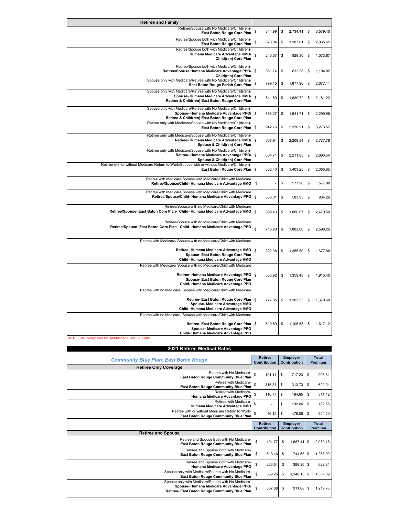| <b>Retiree and Family</b>                                                                                                                                                          |              |                |                |
|------------------------------------------------------------------------------------------------------------------------------------------------------------------------------------|--------------|----------------|----------------|
| Retiree/Spouse with No Medicare/Child(ren)-<br>East Baton Rouge Core Plan                                                                                                          | 844.99<br>\$ | \$<br>2,734.41 | \$<br>3,579.40 |
| Retiree/Spouse both with Medicare/Child(ren)-<br>East Baton Rouge Core Plan                                                                                                        | \$<br>878.04 | \$<br>1,187.61 | \$<br>2,065.65 |
| Retiree/Spouse both with Medicare/Child(ren)-<br>Humana Medicare Advantage HMO/<br>Child(ren) Core Plan                                                                            | \$<br>245.57 | \$<br>828.30   | \$<br>1,073.87 |
| Retiree/Spouse both with Medicare/Child(ren)-<br>Retiree/Spouse Humana Medicare Advantage PPO/<br>Child(ren) Core Plan                                                             | \$<br>361.74 | \$<br>832.28   | \$<br>1,194.02 |
| Spouse only with Medicare/Retiree with No Medicare/Child(ren)-<br>East Baton Rouge Parish Core Plan                                                                                | \$<br>799.15 | \$<br>1,877.96 | \$<br>2,677.11 |
| Spouse only with Medicare/Retiree with No Medicare/Child(ren)<br>Spouse-Humana Medicare Advantage HMO/<br>Retiree & Child(ren) East Baton Rouge Core Plan                          | \$<br>541.50 | \$<br>1,639.72 | \$<br>2,181.22 |
| Spouse only with Medicare/Retiree with No Medicare/Child(ren)-<br>Spouse-Humana Medicare Advantage PPO/<br>Retiree & Child(ren) East Baton Rouge Core Plan                         | \$<br>658.27 | \$<br>1,641.71 | \$<br>2,299.98 |
| Retiree only with Medicare/Spouse with No Medicare/Child(ren)-<br>East Baton Rouge Core Plan                                                                                       | \$<br>942.76 | \$<br>2,330.91 | \$<br>3,273.67 |
| Retiree only with Medicare/Spouse with No Medicare/Child(ren)-<br>Retiree- Humana Medicare Advantage HMO/<br>Spouse & Child(ren) Core Plan                                         | \$<br>567.94 | \$<br>2,209.84 | \$<br>2,777.78 |
| Retiree only with Medicare/Spouse with No Medicare/Child(ren)-<br>Retiree- Humana Medicare Advantage PPO/<br>Spouse & Child(ren) Core Plan                                         | \$<br>684.71 | \$<br>2,211.83 | \$<br>2,896.54 |
| Retiree with or without Medicare Return to Work/Spouse with or without Medicare/Child(ren)-<br>East Baton Rouge Core Plan                                                          | \$<br>662.40 | \$<br>1,403.25 | \$<br>2,065.65 |
| Retiree with Medicare/Spouse with Medicare/Child with Medicare<br>Retiree/Spouse/Child-Humana Medicare Advantage HMO                                                               | \$           | \$<br>577.98   | \$<br>577.98   |
| Retiree with Medicare/Spouse with Medicare/Child with Medicare<br>Retiree/Spouse/Child-Humana Medicare Advantage PPO                                                               | \$<br>350.31 | \$<br>583.95   | \$<br>934.26   |
| Retiree/Spouse with no Medicare/Child with Medicare<br>Retiree/Spouse- East Baton Core Plan- Child- Humana Medicare Advantage HMO                                                  | \$<br>599.43 | \$<br>1,880.07 | \$<br>2,479.50 |
| Retiree/Spouse with no Medicare/Child with Medicare<br>Retiree/Spouse- East Baton Core Plan- Child- Humana Medicare Advantage PPO                                                  | \$<br>716.20 | \$<br>1.882.06 | \$<br>2.598.26 |
| Retiree with Medicare/ Spouse with no Medicare/Child with Medicare                                                                                                                 |              |                |                |
| Retiree- Humana Medicare Advantage HMO<br>Spouse- East Baton Rouge Core Plan<br>Child-Humana Medicare Advantage HMO                                                                | \$<br>322.38 | \$<br>1,355.50 | \$<br>1,677.88 |
| Retiree with Medicare/ Spouse with no Medicare/Child with Medicare                                                                                                                 |              |                |                |
| Retiree-Humana Medicare Advantage PPO<br>Spouse- East Baton Rouge Core Plan<br>Child-Humana Medicare Advantage PPO                                                                 | \$<br>555.92 | \$<br>1,359.48 | \$<br>1,915.40 |
| Retiree with no Medicare/ Spouse with Medicare/Child with Medicare                                                                                                                 |              |                |                |
| Retiree- East Baton Rouge Core Plan<br>Spouse- Medicare Advantage HMO<br>Child-Humana Medicare Advantage HMO                                                                       | \$<br>277.05 | \$<br>1,102.55 | \$<br>1,379.60 |
| Retiree with no Medicare/ Spouse with Medicare/Child with Medicare<br>Retiree- East Baton Rouge Core Plan<br>Spouse- Medicare Advantage PPO<br>Child-Humana Medicare Advantage PPO | 510.59<br>\$ | \$<br>1,106.53 | \$<br>1,617.12 |

| 2021 Retiree Medical Rates                                                                                                                         |                     |                     |               |  |  |  |
|----------------------------------------------------------------------------------------------------------------------------------------------------|---------------------|---------------------|---------------|--|--|--|
| <b>Community Blue Plan: East Baton Rouge</b>                                                                                                       | <b>Retiree</b>      | <b>Employer</b>     | Total         |  |  |  |
|                                                                                                                                                    | Contribution        | <b>Contribution</b> | Premium       |  |  |  |
| <b>Retiree Only Coverage</b>                                                                                                                       |                     |                     |               |  |  |  |
| Retiree with No Medicare-                                                                                                                          | \$                  | \$                  | 908.34        |  |  |  |
| East Baton Rouge Community Blue Plan                                                                                                               | 191.11              | 717.23              | \$            |  |  |  |
| Retiree with Medicare-                                                                                                                             | \$                  | \$                  | \$            |  |  |  |
| East Baton Rouge Community Blue Plan                                                                                                               | 315.31              | 313.73              | 629.04        |  |  |  |
| Retiree with Medicare-                                                                                                                             | \$                  | \$                  | \$            |  |  |  |
| Humana Medicare Advantage PPO                                                                                                                      | 116.77              | 194.65              | 311.42        |  |  |  |
| Retiree with Medicare-                                                                                                                             | \$                  | \$                  | \$            |  |  |  |
| Humana Medicare Advantage HMO                                                                                                                      |                     | 192.66              | 192.66        |  |  |  |
| Retiree with or without Medicare Return to Work-                                                                                                   | \$                  | \$                  | 524.20        |  |  |  |
| <b>East Baton Rouge Community Blue Plan</b>                                                                                                        | 46.12               | 478.08              | \$            |  |  |  |
|                                                                                                                                                    |                     |                     |               |  |  |  |
|                                                                                                                                                    | <b>Retiree</b>      | <b>Employer</b>     | <b>Total</b>  |  |  |  |
|                                                                                                                                                    | <b>Contribution</b> | <b>Contribution</b> | Premium       |  |  |  |
| <b>Retiree and Spouse</b>                                                                                                                          |                     |                     |               |  |  |  |
| Retiree and Spouse Both with No Medicare-                                                                                                          | \$                  | \$                  | 2.089.18      |  |  |  |
| East Baton Rouge Community Blue Plan                                                                                                               | 401.77              | 1.687.41            | \$            |  |  |  |
| Retiree and Spouse Both with Medicare-                                                                                                             | \$                  | \$                  | 1,258.09      |  |  |  |
| East Baton Rouge Community Blue Plan                                                                                                               | 513.46              | 744.63              | \$            |  |  |  |
| Retiree and Spouse Both with Medicare-                                                                                                             | \$                  | \$                  | 622.84        |  |  |  |
| Humana Medicare Advantage PPO                                                                                                                      | 233.54              | 389.30              | \$            |  |  |  |
| Spouse only with Medicare/Retiree with No Medicare-<br>East Baton Rouge Community Blue Plan<br>Spouse only with Medicare/Retiree with No Medicare- | \$<br>389.26        | \$<br>1.148.13      | 1.537.39<br>S |  |  |  |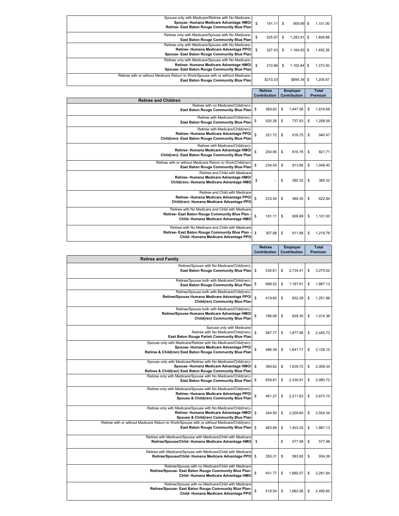| Spouse only with Medicare/Retiree with No Medicare-<br>Spouse-Humana Medicare Advantage HMO/<br>Retiree- East Baton Rouge Community Blue Plan                                                                     | \$<br>191.11                   | 909.89<br>\$                    | 1,101.00<br>\$                   |
|-------------------------------------------------------------------------------------------------------------------------------------------------------------------------------------------------------------------|--------------------------------|---------------------------------|----------------------------------|
| Retiree only with Medicare/Spouse with No Medicare<br>East Baton Rouge Community Blue Plan                                                                                                                        | \$<br>525.97                   | \$<br>1,283.91                  | \$<br>1,809.88                   |
| Retiree only with Medicare/Spouse with No Medicare<br>Retiree- Humana Medicare Advantage PPO/<br>Spouse- East Baton Rouge Community Blue Plan                                                                     | \$<br>327.43                   | \$<br>1,164.83                  | 1,492.26<br>\$                   |
| Retiree only with Medicare/Spouse with No Medicare-<br>Retiree-Humana Medicare Advantage HMO/<br>Spouse- East Baton Rouge Community Blue Plan                                                                     | \$<br>210.66                   | \$<br>1,162.84                  | 1,373.50<br>\$                   |
| Retiree with or without Medicare Return to Work/Spouse with or without Medicare-<br><b>East Baton Rouge Community Blue Plan</b>                                                                                   | \$310.33                       | \$895.34                        | \$<br>1,205.67                   |
|                                                                                                                                                                                                                   | <b>Retiree</b><br>Contribution | <b>Employer</b><br>Contribution | <b>Total</b><br>Premium          |
| <b>Retiree and Children</b><br>Retiree with no Medicare/Child(ren)-                                                                                                                                               |                                |                                 |                                  |
| East Baton Rouge Community Blue Plan<br>Retiree with Medicare/Child(ren)-<br>East Baton Rouge Community Blue Plan                                                                                                 | \$<br>369.62<br>\$<br>520.26   | \$<br>1,447.06<br>\$<br>737.83  | \$<br>1,816.68<br>\$<br>1,258.09 |
| Retiree with Medicare/Child(ren)-                                                                                                                                                                                 |                                |                                 |                                  |
| Retiree- Humana Medicare Advantage PPO/<br>Child(ren)- East Baton Rouge Community Blue Plan<br>Retiree with Medicare/Child(ren)                                                                                   | \$<br>321.72                   | \$<br>618.75                    | \$<br>940.47                     |
| Retiree-Humana Medicare Advantage HMO/<br>Child(ren)- East Baton Rouge Community Blue Plan                                                                                                                        | \$<br>204.95                   | \$<br>616.76                    | \$<br>821.71                     |
| Retiree with or without Medicare Return to Work/Child(ren)<br>East Baton Rouge Community Blue Plan                                                                                                                | \$<br>234.54                   | \$<br>813.86                    | \$<br>1,048.40                   |
| Retiree and Child with Medicare<br>Retiree- Humana Medicare Advantage HMO/<br>Child(ren)- Humana Medicare Advantage HMO                                                                                           | \$                             | \$<br>385.32                    | \$<br>385.32                     |
| Retiree and Child with Medicare<br>Retiree- Humana Medicare Advantage PPO/<br>Child(ren)- Humana Medicare Advantage PPO                                                                                           | \$<br>233.54                   | \$<br>389.30                    | \$<br>622.84                     |
| Retiree with No Medicare and Child with Medicare<br>Retiree- East Baton Rouge Community Blue Plan<br>Child-Humana Medicare Advantage HMO                                                                          | \$<br>191.11                   | \$<br>909.89                    | 1,101.00<br>\$                   |
| Retiree with No Medicare and Child with Medicare<br>Retiree- East Baton Rouge Community Blue Plan<br>Child-Humana Medicare Advantage PPO                                                                          | \$<br>307.88                   | \$<br>911.88                    | \$<br>1,219.76                   |
|                                                                                                                                                                                                                   | <b>Retiree</b><br>Contribution | <b>Employer</b><br>Contribution | <b>Total</b><br>Premium          |
|                                                                                                                                                                                                                   |                                |                                 |                                  |
| <b>Retiree and Family</b>                                                                                                                                                                                         |                                |                                 |                                  |
| Retiree/Spouse with No Medicare/Child(ren)-<br>East Baton Rouge Community Blue Plan                                                                                                                               | \$<br>535.61                   | \$<br>2,734.41                  | \$<br>3,270.02                   |
| Retiree/Spouse both with Medicare/Child(ren)-<br>East Baton Rouge Community Blue Plan                                                                                                                             | \$<br>699.52                   | \$<br>1,187.61                  | \$<br>1,887.13                   |
| Retiree/Spouse both with Medicare/Child(ren)-<br>Retiree/Spouse Humana Medicare Advantage PPO/<br>Child(ren) Community Blue Plan                                                                                  | \$<br>419.60                   | \$<br>832.28                    | \$<br>1.251.88                   |
| Retiree/Spouse both with Medicare/Child(ren)-<br>Retiree/Spouse Humana Medicare Advantage HMO/<br>Child(ren) Community Blue Plan                                                                                  | \$<br>186.06                   | \$<br>828.30                    | \$<br>1,014.36                   |
| Spouse only with Medicare<br>Retiree with No Medicare/Child(ren)-                                                                                                                                                 | \$<br>567.77                   | \$<br>1,877.96                  | 2,445.73<br>\$                   |
| East Baton Rouge Parish Community Blue Plan<br>Spouse only with Medicare/Retiree with No Medicare/Child(ren)<br>Spouse-Humana Medicare Advantage PPO<br>Retiree & Child(ren) East Baton Rouge Community Blue Plan | \$<br>486.39                   | \$<br>1,641.71                  | \$<br>2,128.10                   |
| Spouse only with Medicare/Retiree with No Medicare/Child(ren)-<br>Spouse-Humana Medicare Advantage HMO/<br>Retiree & Child(ren) East Baton Rouge Community Blue Plan                                              | \$<br>369.62                   | \$<br>1,639.72                  | \$<br>2,009.34                   |
| Retiree only with Medicare/Spouse with No Medicare/Child(ren)-<br>East Baton Rouge Community Blue Plan                                                                                                            | \$<br>659.81                   | \$<br>2,330.91                  | \$<br>2,990.72                   |
| Retiree only with Medicare/Spouse with No Medicare/Child(ren)-<br>Retiree- Humana Medicare Advantage PPO/<br>Spouse & Child(ren) Community Blue Plan                                                              | \$<br>461.27                   | \$<br>2,211.83                  | \$<br>2,673.10                   |
| Retiree only with Medicare/Spouse with No Medicare/Child(ren)-<br>Retiree- Humana Medicare Advantage HMO/<br>Spouse & Child(ren) Community Blue Plan                                                              | \$<br>344.50                   | \$<br>2,209.84                  | 2,554.34<br>\$                   |
| Retiree with or without Medicare Return to Work/Spouse with or without Medicare/Child(ren)-<br>East Baton Rouge Community Blue Plan                                                                               | \$<br>483.88                   | \$<br>1,403.25                  | \$<br>1,887.13                   |
| Retiree with Medicare/Spouse with Medicare/Child with Medicare<br>Retiree/Spouse/Child-Humana Medicare Advantage HMO                                                                                              | \$                             | \$<br>577.98                    | \$<br>577.98                     |
| Retiree with Medicare/Spouse with Medicare/Child with Medicare<br>Retiree/Spouse/Child-Humana Medicare Advantage PPO                                                                                              | \$<br>350.31                   | \$<br>583.95                    | \$<br>934.26                     |
| Retiree/Spouse with no Medicare/Child with Medicare<br>Retiree/Spouse- East Baton Rouge Community Blue Plan-<br>Child-Humana Medicare Advantage HMO                                                               | \$<br>401.77                   | \$<br>1,880.07                  | \$<br>2,281.84                   |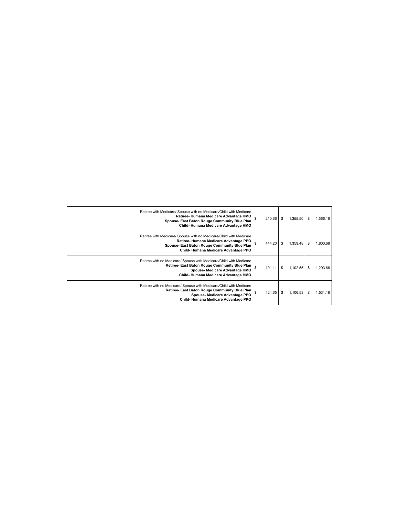| 1,566.16<br>S | 1.355.50 | \$<br>210.66 | \$<br>Retiree with Medicare/ Spouse with no Medicare/Child with Medicare<br>Retiree-Humana Medicare Advantage HMO<br>Spouse- East Baton Rouge Community Blue Plan<br>Child-Humana Medicare Advantage HMO |
|---------------|----------|--------------|----------------------------------------------------------------------------------------------------------------------------------------------------------------------------------------------------------|
| 1,803.68<br>S | 1.359.48 | \$<br>444.20 | Retiree with Medicare/ Spouse with no Medicare/Child with Medicare<br>Retiree-Humana Medicare Advantage PPO<br>Spouse- East Baton Rouge Community Blue Plan<br>Child-Humana Medicare Advantage PPO       |
| 1,293.66<br>S | 1.102.55 | \$<br>191.11 | \$<br>Retiree with no Medicare/ Spouse with Medicare/Child with Medicare<br>Retiree- East Baton Rouge Community Blue Plan<br>Spouse- Medicare Advantage HMO<br>Child-Humana Medicare Advantage HMO       |
| 1,531.18<br>S | 1.106.53 | \$<br>424.65 | \$<br>Retiree with no Medicare/ Spouse with Medicare/Child with Medicare<br>Retiree- East Baton Rouge Community Blue Plan<br>Spouse- Medicare Advantage PPO<br>Child-Humana Medicare Advantage PPO       |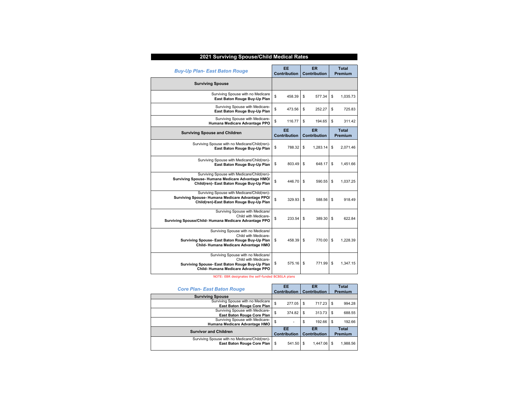| 2021 Surviving Spouse/Child Medical Rates                                                                                                           |                     |                     |                |  |  |  |  |  |  |
|-----------------------------------------------------------------------------------------------------------------------------------------------------|---------------------|---------------------|----------------|--|--|--|--|--|--|
| <b>Buy-Up Plan- East Baton Rouge</b>                                                                                                                | EE                  | <b>ER</b>           | <b>Total</b>   |  |  |  |  |  |  |
|                                                                                                                                                     | <b>Contribution</b> | <b>Contribution</b> | <b>Premium</b> |  |  |  |  |  |  |
| <b>Surviving Spouse</b>                                                                                                                             |                     |                     |                |  |  |  |  |  |  |
| Surviving Spouse with no Medicare                                                                                                                   | \$                  | \$                  | \$             |  |  |  |  |  |  |
| East Baton Rouge Buy-Up Plan                                                                                                                        | 458.39              | 577.34              | 1.035.73       |  |  |  |  |  |  |
| Surviving Spouse with Medicare-                                                                                                                     | \$                  | \$                  | \$             |  |  |  |  |  |  |
| East Baton Rouge Buy-Up Plan                                                                                                                        | 473.56              | 252.27              | 725.83         |  |  |  |  |  |  |
| Surviving Spouse with Medicare-                                                                                                                     | \$                  | \$                  | \$             |  |  |  |  |  |  |
| Humana Medicare Advantage PPO                                                                                                                       | 116.77              | 194.65              | 311.42         |  |  |  |  |  |  |
| <b>Surviving Spouse and Children</b>                                                                                                                | EE                  | ER                  | <b>Total</b>   |  |  |  |  |  |  |
|                                                                                                                                                     | <b>Contribution</b> | <b>Contribution</b> | Premium        |  |  |  |  |  |  |
| Surviving Spouse with no Medicare/Child(ren)-                                                                                                       | \$                  | 1.283.14            | \$             |  |  |  |  |  |  |
| East Baton Rouge Buy-Up Plan                                                                                                                        | 788.32              | \$                  | 2,071.46       |  |  |  |  |  |  |
| Surviving Spouse with Medicare/Child(ren)-                                                                                                          | \$                  | \$                  | \$             |  |  |  |  |  |  |
| East Baton Rouge Buy-Up Plan                                                                                                                        | 803.49              | 648.17              | 1,451.66       |  |  |  |  |  |  |
| Surviving Spouse with Medicare/Child(ren)-<br>Surviving Spouse-Humana Medicare Advantage HMO/<br>Child(ren)- East Baton Rouge Buy-Up Plan           | \$<br>446.70        | \$<br>590.55        | \$<br>1.037.25 |  |  |  |  |  |  |
| Surviving Spouse with Medicare/Child(ren)-<br>Surviving Spouse-Humana Medicare Advantage PPO/<br>Child(ren)-East Baton Rouge Buy-Up Plan            | \$<br>329.93        | \$<br>588.56        | \$<br>918.49   |  |  |  |  |  |  |
| Surviving Spouse with Medicare/<br>Child with Medicare-<br>Surviving Spouse/Child-Humana Medicare Advantage PPO                                     | \$<br>233.54        | \$<br>389.30        | \$<br>622.84   |  |  |  |  |  |  |
| Surviving Spouse with no Medicare/<br>Child with Medicare-<br>Surviving Spouse- East Baton Rouge Buy-Up Plan<br>Child-Humana Medicare Advantage HMO | \$<br>458.39        | \$<br>770.00        | \$<br>1.228.39 |  |  |  |  |  |  |
| Surviving Spouse with no Medicare/<br>Child with Medicare-<br>Surviving Spouse- East Baton Rouge Buy-Up Plan<br>Child-Humana Medicare Advantage PPO | \$<br>575.16        | \$<br>771.99        | \$<br>1,347.15 |  |  |  |  |  |  |

| <b>Core Plan- East Baton Rouge</b>            | EE<br><b>Contribution</b> |    | ER<br><b>Contribution</b> |              | <b>Total</b><br>Premium |
|-----------------------------------------------|---------------------------|----|---------------------------|--------------|-------------------------|
| <b>Surviving Spouse</b>                       |                           |    |                           |              |                         |
| Surviving Spouse with no Medicare             | \$<br>277.05              | \$ | 717.23                    | -S           | 994.28                  |
| East Baton Rouge Core Plan                    |                           |    |                           |              |                         |
| Surviving Spouse with Medicare-               | \$<br>374.82              | \$ | 313.73                    | -S           | 688.55                  |
| East Baton Rouge Core Plan                    |                           |    |                           |              |                         |
| Surviving Spouse with Medicare-               | \$                        | \$ | 192.66                    | \$.          | 192.66                  |
| Humana Medicare Advantage HMO                 |                           |    |                           |              |                         |
| <b>Survivor and Children</b>                  | FE.                       | ER |                           | <b>Total</b> |                         |
|                                               | <b>Contribution</b>       |    | <b>Contribution</b>       |              | Premium                 |
| Surviving Spouse with no Medicare/Child(ren)- |                           |    |                           |              |                         |
| East Baton Rouge Core Plan                    | 541.50<br>\$              | \$ | 1.447.06                  |              | 1.988.56                |
|                                               |                           |    |                           |              |                         |